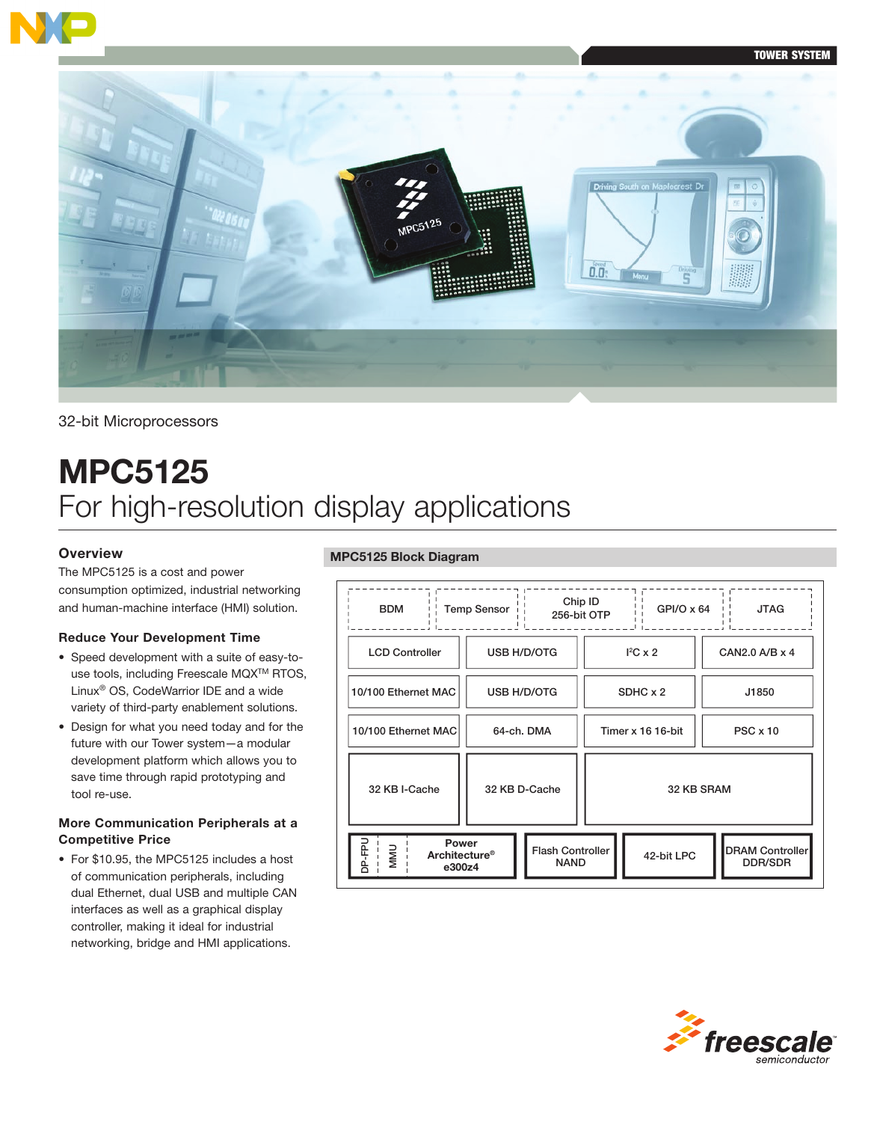



# 32-bit Microprocessors

# MPC5125 For high-resolution display applications

## **Overview**

The MPC5125 is a cost and power consumption optimized, industrial networking and human-machine interface (HMI) solution.

#### Reduce Your Development Time

- • Speed development with a suite of easy-touse tools, including Freescale MQXTM RTOS, Linux® OS, CodeWarrior IDE and a wide variety of third-party enablement solutions.
- • Design for what you need today and for the future with our Tower system—a modular development platform which allows you to save time through rapid prototyping and tool re-use.

## More Communication Peripherals at a Competitive Price

• For \$10.95, the MPC5125 includes a host of communication peripherals, including dual Ethernet, dual USB and multiple CAN interfaces as well as a graphical display controller, making it ideal for industrial networking, bridge and HMI applications.

## MPC5125 Block Diagram

| Chip ID<br><b>Temp Sensor</b><br>$GPI/O \times 64$<br><b>BDM</b><br><b>JTAG</b><br>256-bit OTP |                    |                                        |            |                   |  |                                   |  |  |
|------------------------------------------------------------------------------------------------|--------------------|----------------------------------------|------------|-------------------|--|-----------------------------------|--|--|
| <b>LCD Controller</b>                                                                          | <b>USB H/D/OTG</b> |                                        |            | $I^2C \times 2$   |  | CAN2.0 A/B x 4                    |  |  |
| 10/100 Ethernet MAC                                                                            | <b>USB H/D/OTG</b> |                                        |            | SDHC x 2          |  | J1850                             |  |  |
| 10/100 Ethernet MAC                                                                            | 64-ch. DMA         |                                        |            | Timer x 16 16-bit |  | $PSC \times 10$                   |  |  |
| 32 KB I-Cache                                                                                  | 32 KB D-Cache      |                                        | 32 KB SRAM |                   |  |                                   |  |  |
| <b>Power</b><br>ndań<br><b>NINI</b><br><b>Architecture<sup>®</sup></b><br>e300z4               |                    | <b>Flash Controller</b><br><b>NAND</b> |            | 42-bit LPC        |  | <b>DRAM Controller</b><br>DDR/SDR |  |  |